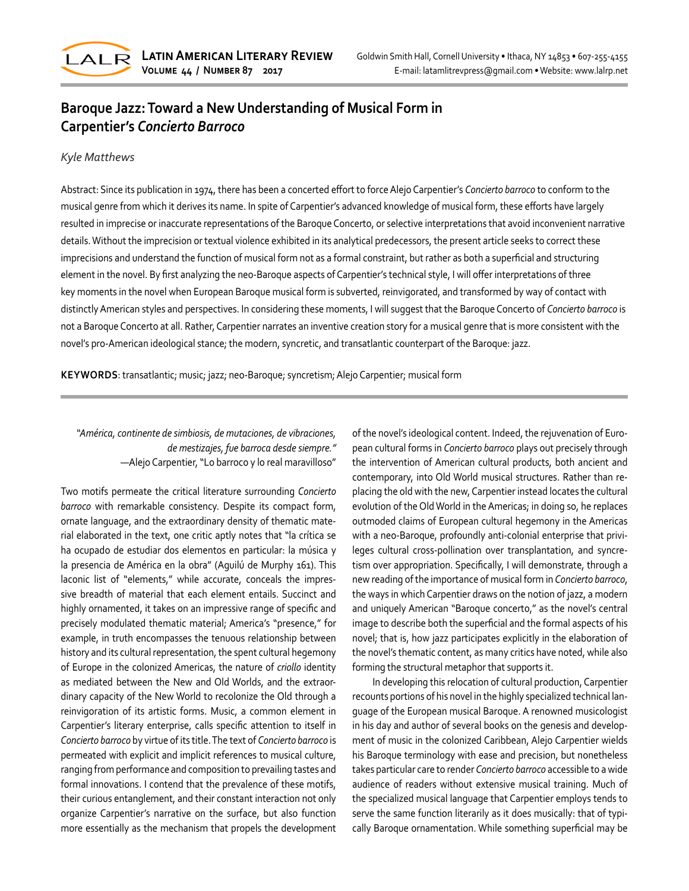

# **Baroque Jazz: Toward a New Understanding of Musical Form in Carpentier's** *Concierto Barroco*

### *Kyle Matthews*

Abstract: Since its publication in 1974, there has been a concerted effort to force Alejo Carpentier's *Concierto barroco* to conform to the musical genre from which it derives its name. In spite of Carpentier's advanced knowledge of musical form, these efforts have largely resulted in imprecise or inaccurate representations of the Baroque Concerto, or selective interpretations that avoid inconvenient narrative details. Without the imprecision or textual violence exhibited in its analytical predecessors, the present article seeks to correct these imprecisions and understand the function of musical form not as a formal constraint, but rather as both a superficial and structuring element in the novel. By first analyzing the neo-Baroque aspects of Carpentier's technical style, I will offer interpretations of three key moments in the novel when European Baroque musical form is subverted, reinvigorated, and transformed by way of contact with distinctly American styles and perspectives. In considering these moments, I will suggest that the Baroque Concerto of *Concierto barroco* is not a Baroque Concerto at all. Rather, Carpentier narrates an inventive creation story for a musical genre that is more consistent with the novel's pro-American ideological stance; the modern, syncretic, and transatlantic counterpart of the Baroque: jazz.

**KEYWORDS**: transatlantic; music; jazz; neo-Baroque; syncretism; Alejo Carpentier; musical form

## *"América, continente de simbiosis, de mutaciones, de vibraciones, de mestizajes, fue barroca desde siempre."* —Alejo Carpentier, "Lo barroco y lo real maravilloso"

Two motifs permeate the critical literature surrounding *Concierto barroco* with remarkable consistency. Despite its compact form, ornate language, and the extraordinary density of thematic mate‐ rial elaborated in the text, one critic aptly notes that "la crítica se ha ocupado de estudiar dos elementos en particular: la música y la presencia de América en la obra" (Aguilú de Murphy 161). This laconic list of "elements," while accurate, conceals the impressive breadth of material that each element entails. Succinct and highly ornamented, it takes on an impressive range of specific and precisely modulated thematic material; America's "presence," for example, in truth encompasses the tenuous relationship between history and its cultural representation, the spent cultural hegemony of Europe in the colonized Americas, the nature of *criollo* identity as mediated between the New and Old Worlds, and the extraor‐ dinary capacity of the New World to recolonize the Old through a reinvigoration of its artistic forms. Music, a common element in Carpentier's literary enterprise, calls specific attention to itself in *Concierto barroco* by virtue of its title. The text of *Concierto barroco* is permeated with explicit and implicit references to musical culture, ranging from performance and composition to prevailing tastes and formal innovations. I contend that the prevalence of these motifs, their curious entanglement, and their constant interaction not only organize Carpentier's narrative on the surface, but also function more essentially as the mechanism that propels the development

of the novel's ideological content. Indeed, the rejuvenation of Euro‐ pean cultural forms in *Concierto barroco* plays out precisely through the intervention of American cultural products, both ancient and contemporary, into Old World musical structures. Rather than re‐ placing the old with the new, Carpentier instead locates the cultural evolution of the Old World in the Americas; in doing so, he replaces outmoded claims of European cultural hegemony in the Americas with a neo-Baroque, profoundly anti-colonial enterprise that privi‐ leges cultural cross-pollination over transplantation, and syncre‐ tism over appropriation. Specifically, I will demonstrate, through a new reading of the importance of musical form in *Concierto barroco*, the ways in which Carpentier draws on the notion of jazz, a modern and uniquely American "Baroque concerto," as the novel's central image to describe both the superficial and the formal aspects of his novel; that is, how jazz participates explicitly in the elaboration of the novel's thematic content, as many critics have noted, while also forming the structural metaphor that supports it.

In developing this relocation of cultural production, Carpentier recounts portions of his novel in the highly specialized technical lan‐ guage of the European musical Baroque. A renowned musicologist in his day and author of several books on the genesis and develop‐ ment of music in the colonized Caribbean, Alejo Carpentier wields his Baroque terminology with ease and precision, but nonetheless takes particular care to render *Concierto barroco* accessible to a wide audience of readers without extensive musical training. Much of the specialized musical language that Carpentier employs tends to serve the same function literarily as it does musically: that of typically Baroque ornamentation. While something superficial may be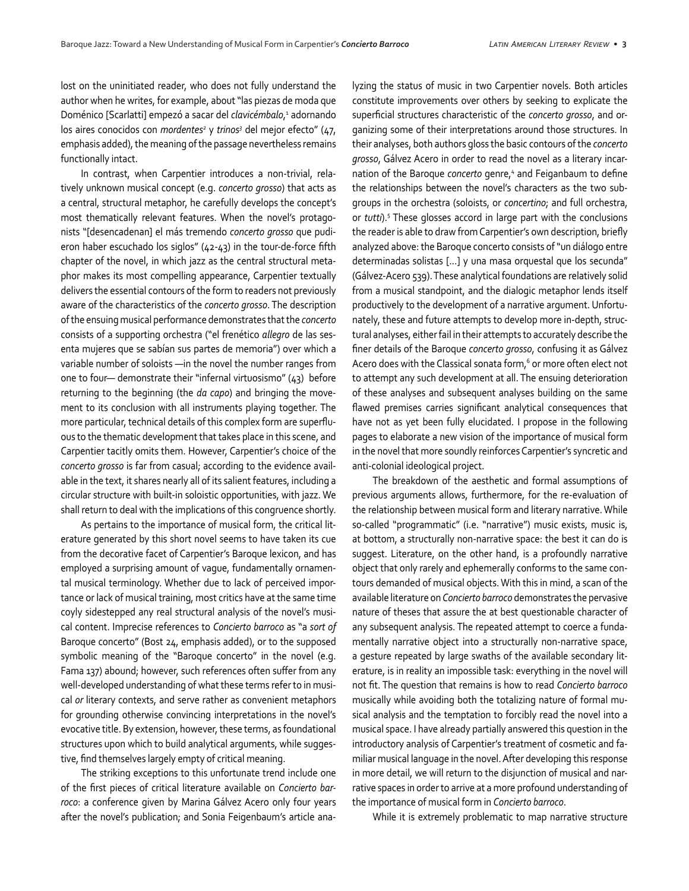lost on the uninitiated reader, who does not fully understand the author when he writes, for example, about "las piezas de moda que Doménico [Scarlatti] empezó a sacar del *clavicémbalo*, 1 adornando los aires conocidos con *mordentes<sup>2</sup>* y *trinos<sup>3</sup>* del mejor efecto" (47, emphasis added), the meaning of the passage nevertheless remains functionally intact.

In contrast, when Carpentier introduces a non-trivial, rela‐ tively unknown musical concept (e.g. *concerto grosso*) that acts as a central, structural metaphor, he carefully develops the concept's most thematically relevant features. When the novel's protagonists "[desencadenan] el más tremendo *concerto grosso* que pudi‐ eron haber escuchado los siglos" (42-43) in the tour-de-force fifth chapter of the novel, in which jazz as the central structural meta‐ phor makes its most compelling appearance, Carpentier textually delivers the essential contours of the form to readers not previously aware of the characteristics of the *concerto grosso*. The description of the ensuing musical performance demonstrates that the *concerto*  consists of a supporting orchestra ("el frenético *allegro* de las ses‐ enta mujeres que se sabían sus partes de memoria") over which a variable number of soloists —in the novel the number ranges from one to four— demonstrate their "infernal virtuosismo" (43) before returning to the beginning (the *da capo*) and bringing the move‐ ment to its conclusion with all instruments playing together. The more particular, technical details of this complex form are superflu‐ ous to the thematic development that takes place in this scene, and Carpentier tacitly omits them. However, Carpentier's choice of the *concerto grosso* is far from casual; according to the evidence avail‐ able in the text, it shares nearly all of its salient features, including a circular structure with built-in soloistic opportunities, with jazz. We shall return to deal with the implications of this congruence shortly.

As pertains to the importance of musical form, the critical literature generated by this short novel seems to have taken its cue from the decorative facet of Carpentier's Baroque lexicon, and has employed a surprising amount of vague, fundamentally ornamen‐ tal musical terminology. Whether due to lack of perceived impor‐ tance or lack of musical training, most critics have at the same time coyly sidestepped any real structural analysis of the novel's musi‐ cal content. Imprecise references to *Concierto barroco* as "a *sort of*  Baroque concerto" (Bost 24, emphasis added), or to the supposed symbolic meaning of the "Baroque concerto" in the novel (e.g. Fama 137) abound; however, such references often suffer from any well-developed understanding of what these terms refer to in musical *or* literary contexts, and serve rather as convenient metaphors for grounding otherwise convincing interpretations in the novel's evocative title. By extension, however, these terms, as foundational structures upon which to build analytical arguments, while sugges‐ tive, find themselves largely empty of critical meaning.

The striking exceptions to this unfortunate trend include one of the first pieces of critical literature available on *Concierto barroco*: a conference given by Marina Gálvez Acero only four years after the novel's publication; and Sonia Feigenbaum's article ana‐

lyzing the status of music in two Carpentier novels. Both articles constitute improvements over others by seeking to explicate the superficial structures characteristic of the *concerto grosso*, and or‐ ganizing some of their interpretations around those structures. In their analyses, both authors gloss the basic contours of the *concerto grosso*, Gálvez Acero in order to read the novel as a literary incar‐ nation of the Baroque *concerto* genre,<sup>4</sup> and Feiganbaum to define the relationships between the novel's characters as the two sub‐ groups in the orchestra (soloists, or *concertino*; and full orchestra, or *tutti*).<sup>5</sup> These glosses accord in large part with the conclusions the reader is able to draw from Carpentier's own description, briefly analyzed above: the Baroque concerto consists of "un diálogo entre determinadas solistas [...] y una masa orquestal que los secunda" (Gálvez-Acero 539). These analytical foundations are relatively solid from a musical standpoint, and the dialogic metaphor lends itself productively to the development of a narrative argument. Unfortu‐ nately, these and future attempts to develop more in-depth, struc‐ tural analyses, either fail in their attempts to accurately describe the finer details of the Baroque *concerto grosso*, confusing it as Gálvez Acero does with the Classical sonata form,<sup>6</sup> or more often elect not to attempt any such development at all. The ensuing deterioration of these analyses and subsequent analyses building on the same flawed premises carries significant analytical consequences that have not as yet been fully elucidated. I propose in the following pages to elaborate a new vision of the importance of musical form in the novel that more soundly reinforces Carpentier's syncretic and anti-colonial ideological project.

The breakdown of the aesthetic and formal assumptions of previous arguments allows, furthermore, for the re-evaluation of the relationship between musical form and literary narrative. While so-called "programmatic" (i.e. "narrative") music exists, music is, at bottom, a structurally non-narrative space: the best it can do is suggest. Literature, on the other hand, is a profoundly narrative object that only rarely and ephemerally conforms to the same con‐ tours demanded of musical objects. With this in mind, a scan of the available literature on *Concierto barroco* demonstrates the pervasive nature of theses that assure the at best questionable character of any subsequent analysis. The repeated attempt to coerce a fundamentally narrative object into a structurally non-narrative space, a gesture repeated by large swaths of the available secondary lit‐ erature, is in reality an impossible task: everything in the novel will not fit. The question that remains is how to read *Concierto barroco*  musically while avoiding both the totalizing nature of formal mu‐ sical analysis and the temptation to forcibly read the novel into a musical space. I have already partially answered this question in the introductory analysis of Carpentier's treatment of cosmetic and fa‐ miliar musical language in the novel. After developing this response in more detail, we will return to the disjunction of musical and nar‐ rative spaces in order to arrive at a more profound understanding of the importance of musical form in *Concierto barroco*.

While it is extremely problematic to map narrative structure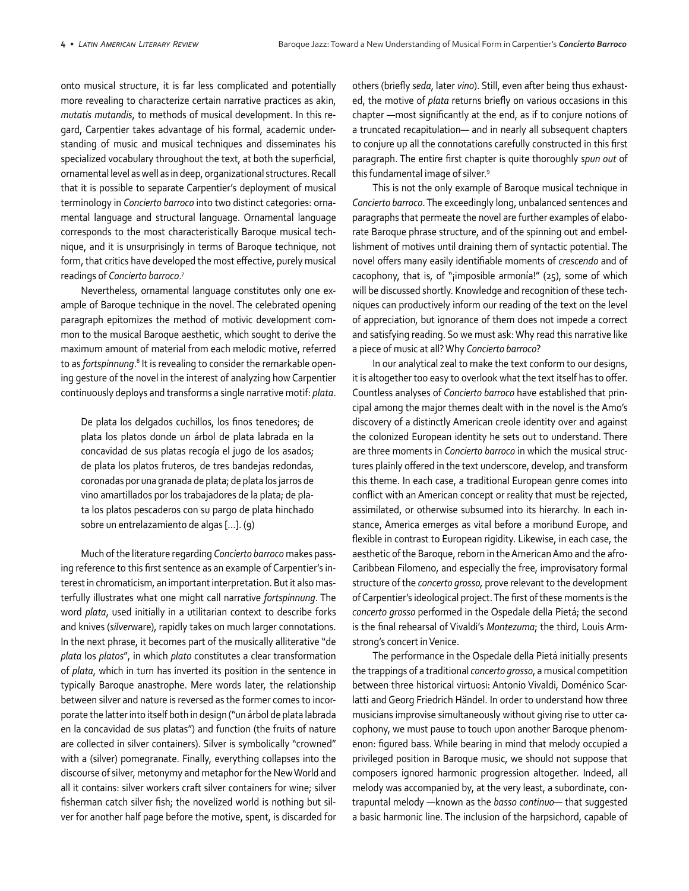onto musical structure, it is far less complicated and potentially more revealing to characterize certain narrative practices as akin, *mutatis mutandis*, to methods of musical development. In this re‐ gard, Carpentier takes advantage of his formal, academic under‐ standing of music and musical techniques and disseminates his specialized vocabulary throughout the text, at both the superficial, ornamental level as well as in deep, organizational structures. Recall that it is possible to separate Carpentier's deployment of musical terminology in *Concierto barroco* into two distinct categories: orna‐ mental language and structural language. Ornamental language corresponds to the most characteristically Baroque musical tech‐ nique, and it is unsurprisingly in terms of Baroque technique, not form, that critics have developed the most effective, purely musical readings of *Concierto barroco*. 7

Nevertheless, ornamental language constitutes only one ex‐ ample of Baroque technique in the novel. The celebrated opening paragraph epitomizes the method of motivic development com‐ mon to the musical Baroque aesthetic, which sought to derive the maximum amount of material from each melodic motive, referred to as *fortspinnung*.<sup>8</sup> It is revealing to consider the remarkable opening gesture of the novel in the interest of analyzing how Carpentier continuously deploys and transforms a single narrative motif: *plata*.

De plata los delgados cuchillos, los finos tenedores; de plata los platos donde un árbol de plata labrada en la concavidad de sus platas recogía el jugo de los asados; de plata los platos fruteros, de tres bandejas redondas, coronadas por una granada de plata; de plata los jarros de vino amartillados por los trabajadores de la plata; de pla‐ ta los platos pescaderos con su pargo de plata hinchado sobre un entrelazamiento de algas [...]. (9)

Much of the literature regarding *Concierto barroco* makes pass‐ ing reference to this first sentence as an example of Carpentier's in‐ terest in chromaticism, an important interpretation. But it also mas‐ terfully illustrates what one might call narrative *fortspinnung*. The word *plata*, used initially in a utilitarian context to describe forks and knives (*silver*ware), rapidly takes on much larger connotations. In the next phrase, it becomes part of the musically alliterative "de *plata* los *platos*", in which *plato* constitutes a clear transformation of *plata*, which in turn has inverted its position in the sentence in typically Baroque anastrophe. Mere words later, the relationship between silver and nature is reversed as the former comes to incor‐ porate the latter into itself both in design ("un árbol de plata labrada en la concavidad de sus platas") and function (the fruits of nature are collected in silver containers). Silver is symbolically "crowned" with a (silver) pomegranate. Finally, everything collapses into the discourse of silver, metonymy and metaphor for the New World and all it contains: silver workers craft silver containers for wine; silver fisherman catch silver fish; the novelized world is nothing but silver for another half page before the motive, spent, is discarded for

others (briefly *seda*, later *vino*). Still, even after being thus exhaust‐ ed, the motive of *plata* returns briefly on various occasions in this chapter —most significantly at the end, as if to conjure notions of a truncated recapitulation— and in nearly all subsequent chapters to conjure up all the connotations carefully constructed in this first paragraph. The entire first chapter is quite thoroughly *spun out* of this fundamental image of silver.9

This is not the only example of Baroque musical technique in *Concierto barroco*. The exceedingly long, unbalanced sentences and paragraphs that permeate the novel are further examples of elabo‐ rate Baroque phrase structure, and of the spinning out and embel‐ lishment of motives until draining them of syntactic potential. The novel offers many easily identifiable moments of *crescendo* and of cacophony, that is, of "¡imposible armonía!" (25), some of which will be discussed shortly. Knowledge and recognition of these tech‐ niques can productively inform our reading of the text on the level of appreciation, but ignorance of them does not impede a correct and satisfying reading. So we must ask: Why read this narrative like a piece of music at all? Why *Concierto barroco*?

In our analytical zeal to make the text conform to our designs, it is altogether too easy to overlook what the text itself has to offer. Countless analyses of *Concierto barroco* have established that prin‐ cipal among the major themes dealt with in the novel is the Amo's discovery of a distinctly American creole identity over and against the colonized European identity he sets out to understand. There are three moments in *Concierto barroco* in which the musical struc‐ tures plainly offered in the text underscore, develop, and transform this theme. In each case, a traditional European genre comes into conflict with an American concept or reality that must be rejected, assimilated, or otherwise subsumed into its hierarchy. In each in‐ stance, America emerges as vital before a moribund Europe, and flexible in contrast to European rigidity. Likewise, in each case, the aesthetic of the Baroque, reborn in the American Amo and the afro-Caribbean Filomeno, and especially the free, improvisatory formal structure of the *concerto grosso,* prove relevant to the development of Carpentier's ideological project. The first of these moments is the *concerto grosso* performed in the Ospedale della Pietá; the second is the final rehearsal of Vivaldi's *Montezuma*; the third, Louis Arm‐ strong's concert in Venice.

The performance in the Ospedale della Pietá initially presents the trappings of a traditional *concerto grosso*, a musical competition between three historical virtuosi: Antonio Vivaldi, Doménico Scar‐ latti and Georg Friedrich Händel. In order to understand how three musicians improvise simultaneously without giving rise to utter ca‐ cophony, we must pause to touch upon another Baroque phenom‐ enon: figured bass. While bearing in mind that melody occupied a privileged position in Baroque music, we should not suppose that composers ignored harmonic progression altogether. Indeed, all melody was accompanied by, at the very least, a subordinate, con‐ trapuntal melody —known as the *basso continuo*— that suggested a basic harmonic line. The inclusion of the harpsichord, capable of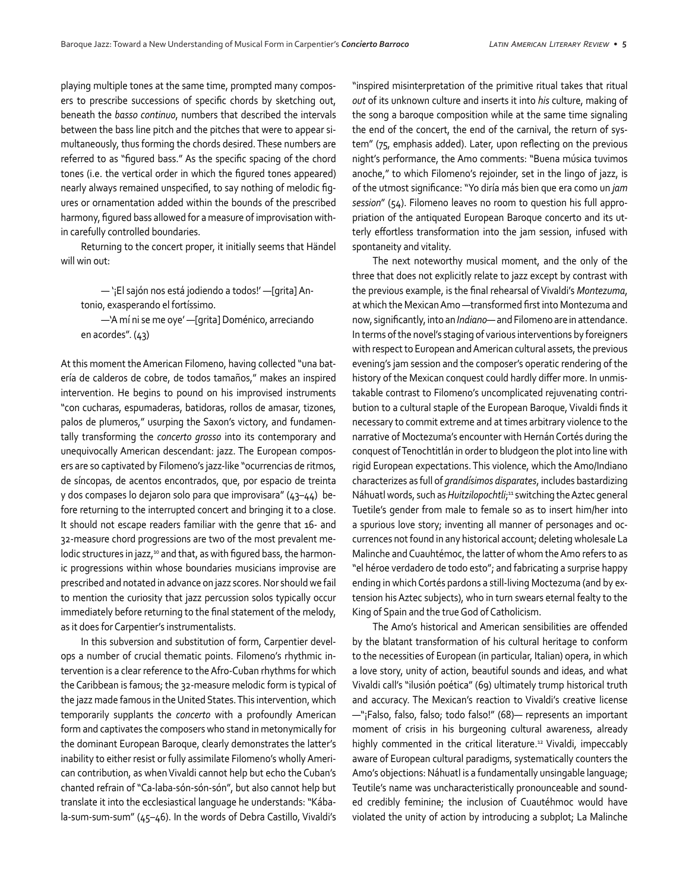playing multiple tones at the same time, prompted many compos‐ ers to prescribe successions of specific chords by sketching out, beneath the *basso continuo*, numbers that described the intervals between the bass line pitch and the pitches that were to appear si‐ multaneously, thus forming the chords desired. These numbers are referred to as "figured bass." As the specific spacing of the chord tones (i.e. the vertical order in which the figured tones appeared) nearly always remained unspecified, to say nothing of melodic fig‐ ures or ornamentation added within the bounds of the prescribed harmony, figured bass allowed for a measure of improvisation with‐ in carefully controlled boundaries.

Returning to the concert proper, it initially seems that Händel will win out:

— '¡El sajón nos está jodiendo a todos!' —[grita] An‐ tonio, exasperando el fortíssimo.

—'A mí ni se me oye' —[grita] Doménico, arreciando en acordes". (43)

At this moment the American Filomeno, having collected "una bat‐ ería de calderos de cobre, de todos tamaños," makes an inspired intervention. He begins to pound on his improvised instruments "con cucharas, espumaderas, batidoras, rollos de amasar, tizones, palos de plumeros," usurping the Saxon's victory, and fundamen‐ tally transforming the *concerto grosso* into its contemporary and unequivocally American descendant: jazz. The European compos‐ ers are so captivated by Filomeno's jazz-like "ocurrencias de ritmos, de síncopas, de acentos encontrados, que, por espacio de treinta y dos compases lo dejaron solo para que improvisara" (43–44) be‐ fore returning to the interrupted concert and bringing it to a close. It should not escape readers familiar with the genre that 16- and 32-measure chord progressions are two of the most prevalent me‐ lodic structures in jazz,<sup>10</sup> and that, as with figured bass, the harmonic progressions within whose boundaries musicians improvise are prescribed and notated in advance on jazz scores. Nor should we fail to mention the curiosity that jazz percussion solos typically occur immediately before returning to the final statement of the melody, as it does for Carpentier's instrumentalists.

In this subversion and substitution of form, Carpentier devel‐ ops a number of crucial thematic points. Filomeno's rhythmic in‐ tervention is a clear reference to the Afro-Cuban rhythms for which the Caribbean is famous; the 32-measure melodic form is typical of the jazz made famous in the United States. This intervention, which temporarily supplants the *concerto* with a profoundly American form and captivates the composers who stand in metonymically for the dominant European Baroque, clearly demonstrates the latter's inability to either resist or fully assimilate Filomeno's wholly Ameri‐ can contribution, as when Vivaldi cannot help but echo the Cuban's chanted refrain of "Ca-laba-són-són-són", but also cannot help but translate it into the ecclesiastical language he understands: "Kába‐ la-sum-sum-sum" (45–46). In the words of Debra Castillo, Vivaldi's

"inspired misinterpretation of the primitive ritual takes that ritual *out* of its unknown culture and inserts it into *his* culture, making of the song a baroque composition while at the same time signaling the end of the concert, the end of the carnival, the return of sys‐ tem" (75, emphasis added). Later, upon reflecting on the previous night's performance, the Amo comments: "Buena música tuvimos anoche," to which Filomeno's rejoinder, set in the lingo of jazz, is of the utmost significance: "Yo diría más bien que era como un *jam session*" (54). Filomeno leaves no room to question his full appro‐ priation of the antiquated European Baroque concerto and its ut‐ terly effortless transformation into the jam session, infused with spontaneity and vitality.

The next noteworthy musical moment, and the only of the three that does not explicitly relate to jazz except by contrast with the previous example, is the final rehearsal of Vivaldi's *Montezuma*, at which the Mexican Amo —transformed first into Montezuma and now, significantly, into an *Indiano*— and Filomeno are in attendance. In terms of the novel's staging of various interventions by foreigners with respect to European and American cultural assets, the previous evening's jam session and the composer's operatic rendering of the history of the Mexican conquest could hardly differ more. In unmis‐ takable contrast to Filomeno's uncomplicated rejuvenating contri‐ bution to a cultural staple of the European Baroque, Vivaldi finds it necessary to commit extreme and at times arbitrary violence to the narrative of Moctezuma's encounter with Hernán Cortés during the conquest of Tenochtitlán in order to bludgeon the plot into line with rigid European expectations. This violence, which the Amo/Indiano characterizes as full of *grandísimos disparates*, includes bastardizing Náhuatl words, such as *Huitzilopochtli*; 11 switching the Aztec general Tuetile's gender from male to female so as to insert him/her into a spurious love story; inventing all manner of personages and oc‐ currences not found in any historical account; deleting wholesale La Malinche and Cuauhtémoc, the latter of whom the Amo refers to as "el héroe verdadero de todo esto"; and fabricating a surprise happy ending in which Cortés pardons a still-living Moctezuma (and by ex‐ tension his Aztec subjects), who in turn swears eternal fealty to the King of Spain and the true God of Catholicism.

The Amo's historical and American sensibilities are offended by the blatant transformation of his cultural heritage to conform to the necessities of European (in particular, Italian) opera, in which a love story, unity of action, beautiful sounds and ideas, and what Vivaldi call's "ilusión poética" (69) ultimately trump historical truth and accuracy. The Mexican's reaction to Vivaldi's creative license —"¡Falso, falso, falso; todo falso!" (68)— represents an important moment of crisis in his burgeoning cultural awareness, already highly commented in the critical literature.<sup>12</sup> Vivaldi, impeccably aware of European cultural paradigms, systematically counters the Amo's objections: Náhuatl is a fundamentally unsingable language; Teutile's name was uncharacteristically pronounceable and sound‐ ed credibly feminine; the inclusion of Cuautéhmoc would have violated the unity of action by introducing a subplot; La Malinche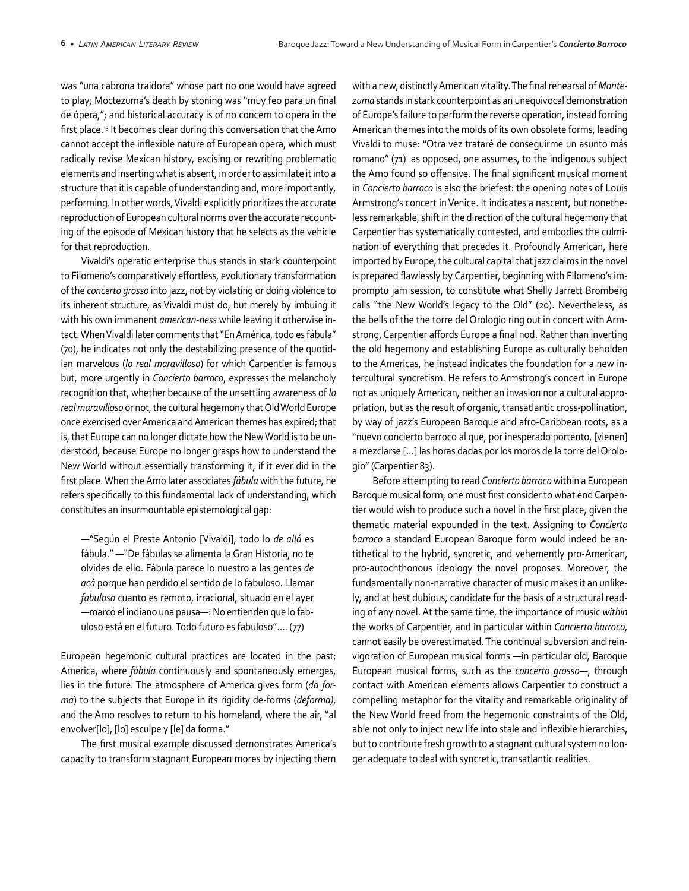was "una cabrona traidora" whose part no one would have agreed to play; Moctezuma's death by stoning was "muy feo para un final de ópera,"; and historical accuracy is of no concern to opera in the first place.<sup>13</sup> It becomes clear during this conversation that the Amo cannot accept the inflexible nature of European opera, which must radically revise Mexican history, excising or rewriting problematic elements and inserting what is absent, in order to assimilate it into a structure that it is capable of understanding and, more importantly, performing. In other words, Vivaldi explicitly prioritizes the accurate reproduction of European cultural norms over the accurate recount‐ ing of the episode of Mexican history that he selects as the vehicle for that reproduction.

Vivaldi's operatic enterprise thus stands in stark counterpoint to Filomeno's comparatively effortless, evolutionary transformation of the *concerto grosso* into jazz, not by violating or doing violence to its inherent structure, as Vivaldi must do, but merely by imbuing it with his own immanent *american-ness* while leaving it otherwise in‐ tact. When Vivaldi later comments that "En América, todo es fábula" (70), he indicates not only the destabilizing presence of the quotid‐ ian marvelous (*lo real maravilloso*) for which Carpentier is famous but, more urgently in *Concierto barroco*, expresses the melancholy recognition that, whether because of the unsettling awareness of *lo real maravilloso* or not, the cultural hegemony that Old World Europe once exercised over America and American themes has expired; that is, that Europe can no longer dictate how the New World is to be un‐ derstood, because Europe no longer grasps how to understand the New World without essentially transforming it, if it ever did in the first place. When the Amo later associates *fábula* with the future, he refers specifically to this fundamental lack of understanding, which constitutes an insurmountable epistemological gap:

—"Según el Preste Antonio [Vivaldi], todo lo *de allá* es fábula." —"De fábulas se alimenta la Gran Historia, no te olvides de ello. Fábula parece lo nuestro a las gentes *de acá* porque han perdido el sentido de lo fabuloso. Llamar *fabuloso* cuanto es remoto, irracional, situado en el ayer —marcó el indiano una pausa—: No entienden que lo fab‐ uloso está en el futuro. Todo futuro es fabuloso"…. (77)

European hegemonic cultural practices are located in the past; America, where *fábula* continuously and spontaneously emerges, lies in the future. The atmosphere of America gives form (*da forma*) to the subjects that Europe in its rigidity de-forms (*deforma)*, and the Amo resolves to return to his homeland, where the air, "al envolver[lo], [lo] esculpe y [le] da forma."

The first musical example discussed demonstrates America's capacity to transform stagnant European mores by injecting them

with a new, distinctly American vitality. The final rehearsal of *Montezuma* stands in stark counterpoint as an unequivocal demonstration of Europe's failure to perform the reverse operation, instead forcing American themes into the molds of its own obsolete forms, leading Vivaldi to muse: "Otra vez trataré de conseguirme un asunto más romano" (71) as opposed, one assumes, to the indigenous subject the Amo found so offensive. The final significant musical moment in *Concierto barroco* is also the briefest: the opening notes of Louis Armstrong's concert in Venice. It indicates a nascent, but nonethe‐ less remarkable, shift in the direction of the cultural hegemony that Carpentier has systematically contested, and embodies the culmi‐ nation of everything that precedes it. Profoundly American, here imported by Europe, the cultural capital that jazz claims in the novel is prepared flawlessly by Carpentier, beginning with Filomeno's im‐ promptu jam session, to constitute what Shelly Jarrett Bromberg calls "the New World's legacy to the Old" (20). Nevertheless, as the bells of the the torre del Orologio ring out in concert with Arm‐ strong, Carpentier affords Europe a final nod. Rather than inverting the old hegemony and establishing Europe as culturally beholden to the Americas, he instead indicates the foundation for a new in‐ tercultural syncretism. He refers to Armstrong's concert in Europe not as uniquely American, neither an invasion nor a cultural appro‐ priation, but as the result of organic, transatlantic cross-pollination, by way of jazz's European Baroque and afro-Caribbean roots, as a "nuevo concierto barroco al que, por inesperado portento, [vienen] a mezclarse [...] las horas dadas por los moros de la torre del Orolo‐ gio" (Carpentier 83).

Before attempting to read *Concierto barroco* within a European Baroque musical form, one must first consider to what end Carpen‐ tier would wish to produce such a novel in the first place, given the thematic material expounded in the text. Assigning to *Concierto barroco* a standard European Baroque form would indeed be an‐ tithetical to the hybrid, syncretic, and vehemently pro-American, pro-autochthonous ideology the novel proposes. Moreover, the fundamentally non-narrative character of music makes it an unlike‐ ly, and at best dubious, candidate for the basis of a structural read‐ ing of any novel. At the same time, the importance of music *within*  the works of Carpentier, and in particular within *Concierto barroco,*  cannot easily be overestimated. The continual subversion and rein‐ vigoration of European musical forms —in particular old, Baroque European musical forms, such as the *concerto grosso*—, through contact with American elements allows Carpentier to construct a compelling metaphor for the vitality and remarkable originality of the New World freed from the hegemonic constraints of the Old, able not only to inject new life into stale and inflexible hierarchies, but to contribute fresh growth to a stagnant cultural system no lon‐ ger adequate to deal with syncretic, transatlantic realities.